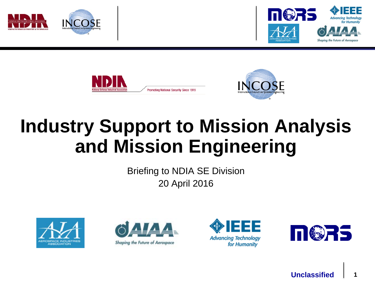







# **Industry Support to Mission Analysis and Mission Engineering**

Briefing to NDIA SE Division 20 April 2016







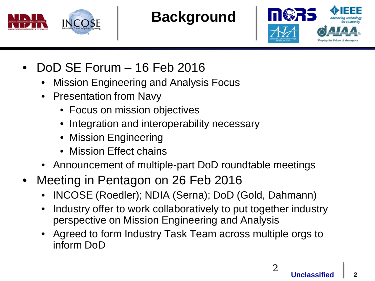

**Background**



- DoD SE Forum 16 Feb 2016
	- Mission Engineering and Analysis Focus
	- Presentation from Navy
		- Focus on mission objectives
		- Integration and interoperability necessary
		- Mission Engineering
		- Mission Effect chains
	- Announcement of multiple-part DoD roundtable meetings
- Meeting in Pentagon on 26 Feb 2016
	- INCOSE (Roedler); NDIA (Serna); DoD (Gold, Dahmann)
	- Industry offer to work collaboratively to put together industry perspective on Mission Engineering and Analysis
	- Agreed to form Industry Task Team across multiple orgs to inform DoD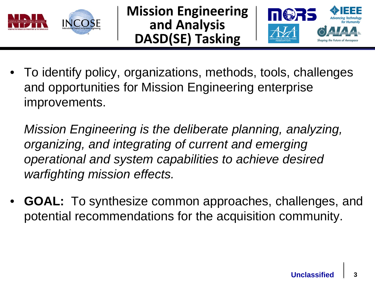

**Mission Engineering and Analysis DASD(SE) Tasking**



• To identify policy, organizations, methods, tools, challenges and opportunities for Mission Engineering enterprise improvements.

*Mission Engineering is the deliberate planning, analyzing, organizing, and integrating of current and emerging operational and system capabilities to achieve desired warfighting mission effects.*

• **GOAL:** To synthesize common approaches, challenges, and potential recommendations for the acquisition community.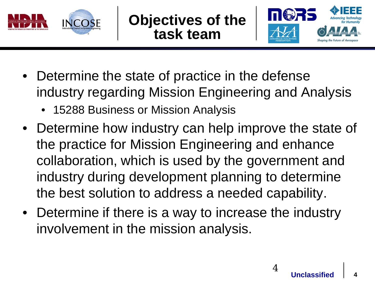

**Objectives of the task team**



- Determine the state of practice in the defense industry regarding Mission Engineering and Analysis
	- 15288 Business or Mission Analysis
- Determine how industry can help improve the state of the practice for Mission Engineering and enhance collaboration, which is used by the government and industry during development planning to determine the best solution to address a needed capability.
- Determine if there is a way to increase the industry involvement in the mission analysis.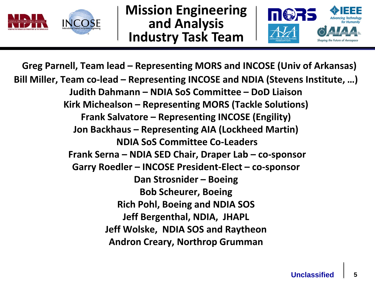

**Mission Engineering and Analysis Industry Task Team**



**Greg Parnell, Team lead – Representing MORS and INCOSE (Univ of Arkansas) Bill Miller, Team co-lead – Representing INCOSE and NDIA (Stevens Institute, …) Judith Dahmann – NDIA SoS Committee – DoD Liaison Kirk Michealson – Representing MORS (Tackle Solutions) Frank Salvatore – Representing INCOSE (Engility) Jon Backhaus – Representing AIA (Lockheed Martin) NDIA SoS Committee Co-Leaders Frank Serna – NDIA SED Chair, Draper Lab – co-sponsor Garry Roedler – INCOSE President-Elect – co-sponsor Dan Strosnider – Boeing Bob Scheurer, Boeing Rich Pohl, Boeing and NDIA SOS Jeff Bergenthal, NDIA, JHAPL Jeff Wolske, NDIA SOS and Raytheon Andron Creary, Northrop Grumman**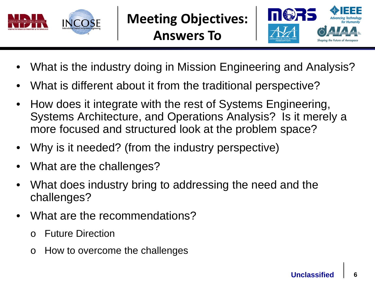

**Meeting Objectives: Answers To**



- What is the industry doing in Mission Engineering and Analysis?
- What is different about it from the traditional perspective?
- How does it integrate with the rest of Systems Engineering, Systems Architecture, and Operations Analysis? Is it merely a more focused and structured look at the problem space?
- Why is it needed? (from the industry perspective)
- What are the challenges?
- What does industry bring to addressing the need and the challenges?
- What are the recommendations?
	- o Future Direction
	- o How to overcome the challenges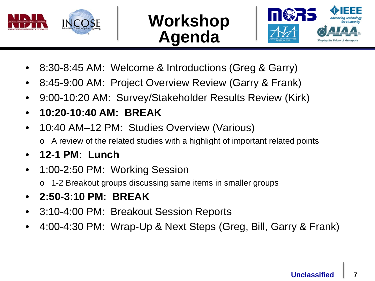

### **Workshop Agenda**



- 8:30-8:45 AM: Welcome & Introductions (Greg & Garry)
- 8:45-9:00 AM: Project Overview Review (Garry & Frank)
- 9:00-10:20 AM: Survey/Stakeholder Results Review (Kirk)
- **10:20-10:40 AM: BREAK**
- 10:40 AM–12 PM: Studies Overview (Various)
	- o A review of the related studies with a highlight of important related points
- **12-1 PM: Lunch**
- 1:00-2:50 PM: Working Session
	- o 1-2 Breakout groups discussing same items in smaller groups
- **2:50-3:10 PM: BREAK**
- 3:10-4:00 PM: Breakout Session Reports
- 4:00-4:30 PM: Wrap-Up & Next Steps (Greg, Bill, Garry & Frank)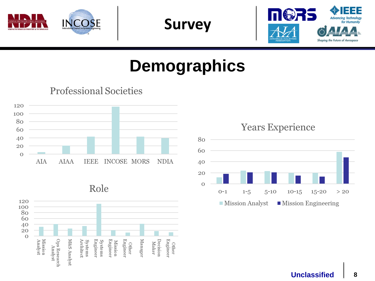

**Survey**



**Professional Societies** 









#### **Years Experience**

**Advancing Technolog** for Humanity

Shaping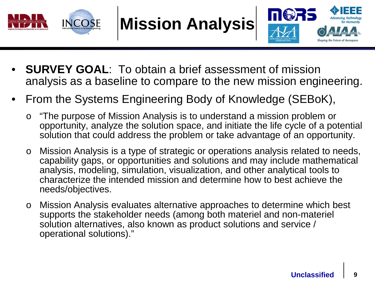

**Mission Analysis**



- **SURVEY GOAL:** To obtain a brief assessment of mission analysis as a baseline to compare to the new mission engineering.
- From the Systems Engineering Body of Knowledge (SEBoK),
	- o "The purpose of Mission Analysis is to understand a mission problem or opportunity, analyze the solution space, and initiate the life cycle of a potential solution that could address the problem or take advantage of an opportunity.
	- o Mission Analysis is a type of strategic or operations analysis related to needs, capability gaps, or opportunities and solutions and may include mathematical analysis, modeling, simulation, visualization, and other analytical tools to characterize the intended mission and determine how to best achieve the needs/objectives.
	- o Mission Analysis evaluates alternative approaches to determine which best supports the stakeholder needs (among both materiel and non-materiel solution alternatives, also known as product solutions and service / operational solutions)."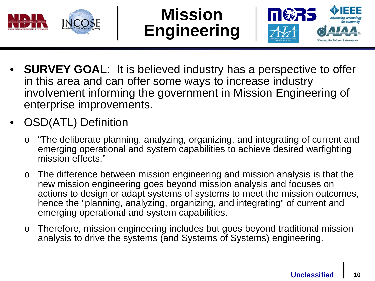

### **Mission Engineering**



- **SURVEY GOAL**: It is believed industry has a perspective to offer in this area and can offer some ways to increase industry involvement informing the government in Mission Engineering of enterprise improvements.
- OSD(ATL) Definition
	- o "The deliberate planning, analyzing, organizing, and integrating of current and emerging operational and system capabilities to achieve desired warfighting mission effects."
	- o The difference between mission engineering and mission analysis is that the new mission engineering goes beyond mission analysis and focuses on actions to design or adapt systems of systems to meet the mission outcomes, hence the "planning, analyzing, organizing, and integrating" of current and emerging operational and system capabilities.
	- o Therefore, mission engineering includes but goes beyond traditional mission analysis to drive the systems (and Systems of Systems) engineering.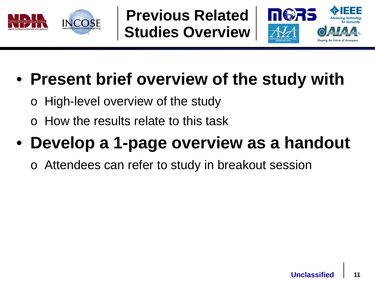

**Previous Related Studies Overview**



## • **Present brief overview of the study with**

- o High-level overview of the study
- How the results relate to this task

## • **Develop a 1-page overview as a handout**

Attendees can refer to study in breakout session